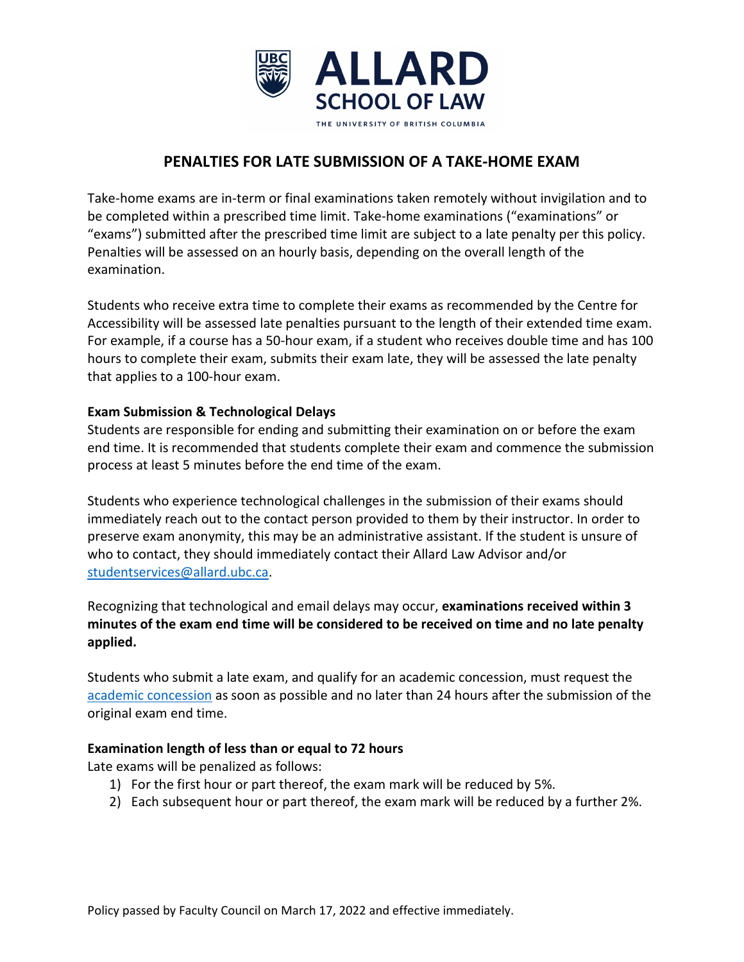

# **PENALTIES FOR LATE SUBMISSION OF A TAKE-HOME EXAM**

Take-home exams are in-term or final examinations taken remotely without invigilation and to be completed within a prescribed time limit. Take-home examinations ("examinations" or "exams") submitted after the prescribed time limit are subject to a late penalty per this policy. Penalties will be assessed on an hourly basis, depending on the overall length of the examination.

Students who receive extra time to complete their exams as recommended by the Centre for Accessibility will be assessed late penalties pursuant to the length of their extended time exam. For example, if a course has a 50-hour exam, if a student who receives double time and has 100 hours to complete their exam, submits their exam late, they will be assessed the late penalty that applies to a 100-hour exam.

## **Exam Submission & Technological Delays**

Students are responsible for ending and submitting their examination on or before the exam end time. It is recommended that students complete their exam and commence the submission process at least 5 minutes before the end time of the exam.

Students who experience technological challenges in the submission of their exams should immediately reach out to the contact person provided to them by their instructor. In order to preserve exam anonymity, this may be an administrative assistant. If the student is unsure of who to contact, they should immediately contact their Allard Law Advisor and/or [studentservices@allard.ubc.ca.](mailto:studentservices@allard.ubc.ca)

Recognizing that technological and email delays may occur, **examinations received within 3 minutes of the exam end time will be considered to be received on time and no late penalty applied.** 

Students who submit a late exam, and qualify for an academic concession, must request the [academic concession](https://allard.ubc.ca/student-portal/academic-concessions-accommodations) as soon as possible and no later than 24 hours after the submission of the original exam end time.

## **Examination length of less than or equal to 72 hours**

Late exams will be penalized as follows:

- 1) For the first hour or part thereof, the exam mark will be reduced by 5%.
- 2) Each subsequent hour or part thereof, the exam mark will be reduced by a further 2%.